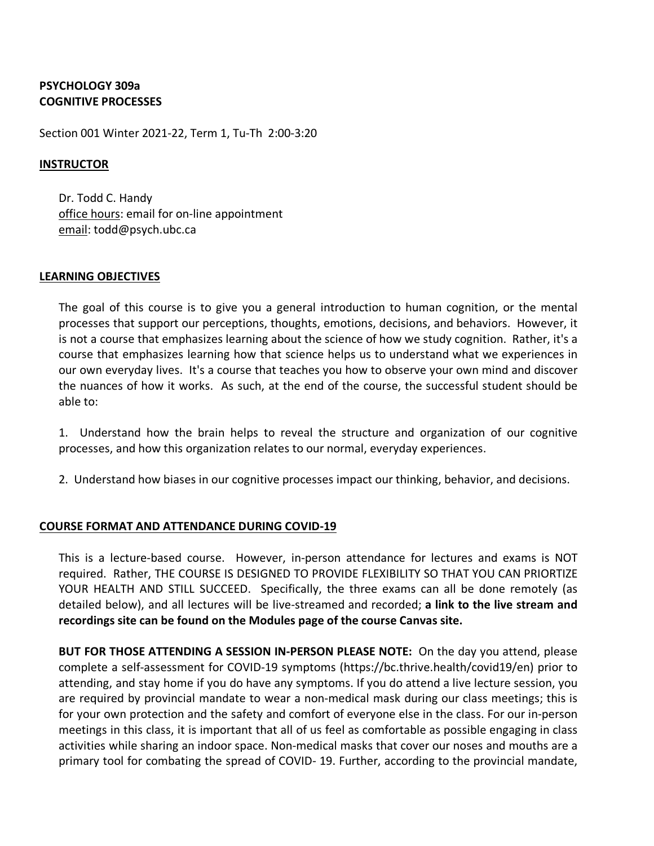## **PSYCHOLOGY 309a COGNITIVE PROCESSES**

Section 001 Winter 2021-22, Term 1, Tu-Th 2:00-3:20

## **INSTRUCTOR**

Dr. Todd C. Handy office hours: email for on-line appointment email: todd@psych.ubc.ca

## **LEARNING OBJECTIVES**

The goal of this course is to give you a general introduction to human cognition, or the mental processes that support our perceptions, thoughts, emotions, decisions, and behaviors. However, it is not a course that emphasizes learning about the science of how we study cognition. Rather, it's a course that emphasizes learning how that science helps us to understand what we experiences in our own everyday lives. It's a course that teaches you how to observe your own mind and discover the nuances of how it works. As such, at the end of the course, the successful student should be able to:

1. Understand how the brain helps to reveal the structure and organization of our cognitive processes, and how this organization relates to our normal, everyday experiences.

2. Understand how biases in our cognitive processes impact our thinking, behavior, and decisions.

## **COURSE FORMAT AND ATTENDANCE DURING COVID-19**

This is a lecture-based course. However, in-person attendance for lectures and exams is NOT required. Rather, THE COURSE IS DESIGNED TO PROVIDE FLEXIBILITY SO THAT YOU CAN PRIORTIZE YOUR HEALTH AND STILL SUCCEED. Specifically, the three exams can all be done remotely (as detailed below), and all lectures will be live-streamed and recorded; **a link to the live stream and recordings site can be found on the Modules page of the course Canvas site.**

**BUT FOR THOSE ATTENDING A SESSION IN-PERSON PLEASE NOTE:** On the day you attend, please complete a self-assessment for COVID-19 symptoms (https://bc.thrive.health/covid19/en) prior to attending, and stay home if you do have any symptoms. If you do attend a live lecture session, you are required by provincial mandate to wear a non-medical mask during our class meetings; this is for your own protection and the safety and comfort of everyone else in the class. For our in-person meetings in this class, it is important that all of us feel as comfortable as possible engaging in class activities while sharing an indoor space. Non-medical masks that cover our noses and mouths are a primary tool for combating the spread of COVID- 19. Further, according to the provincial mandate,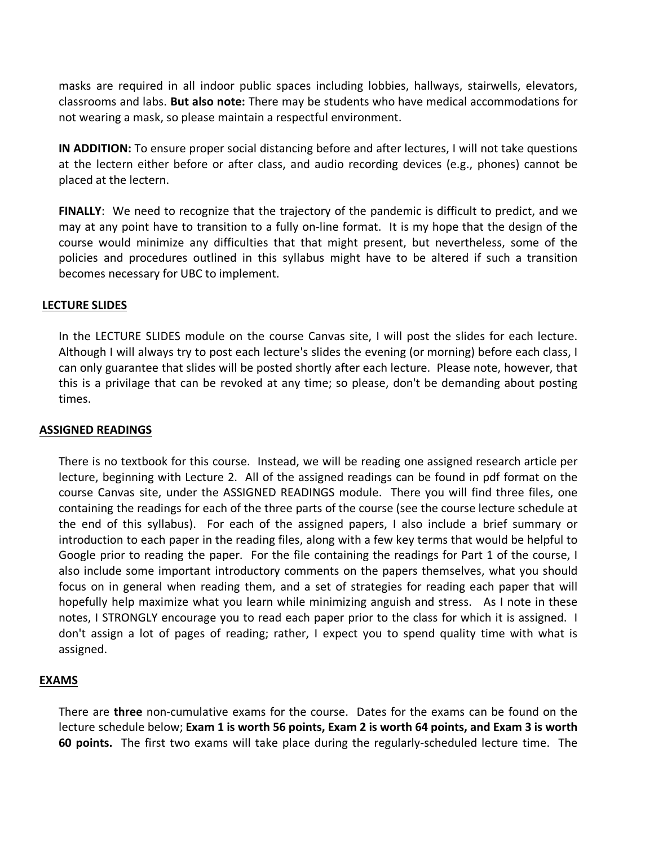masks are required in all indoor public spaces including lobbies, hallways, stairwells, elevators, classrooms and labs. **But also note:** There may be students who have medical accommodations for not wearing a mask, so please maintain a respectful environment.

**IN ADDITION:** To ensure proper social distancing before and after lectures, I will not take questions at the lectern either before or after class, and audio recording devices (e.g., phones) cannot be placed at the lectern.

**FINALLY**: We need to recognize that the trajectory of the pandemic is difficult to predict, and we may at any point have to transition to a fully on-line format. It is my hope that the design of the course would minimize any difficulties that that might present, but nevertheless, some of the policies and procedures outlined in this syllabus might have to be altered if such a transition becomes necessary for UBC to implement.

### **LECTURE SLIDES**

In the LECTURE SLIDES module on the course Canvas site, I will post the slides for each lecture. Although I will always try to post each lecture's slides the evening (or morning) before each class, I can only guarantee that slides will be posted shortly after each lecture. Please note, however, that this is a privilage that can be revoked at any time; so please, don't be demanding about posting times.

#### **ASSIGNED READINGS**

There is no textbook for this course. Instead, we will be reading one assigned research article per lecture, beginning with Lecture 2. All of the assigned readings can be found in pdf format on the course Canvas site, under the ASSIGNED READINGS module. There you will find three files, one containing the readings for each of the three parts of the course (see the course lecture schedule at the end of this syllabus). For each of the assigned papers, I also include a brief summary or introduction to each paper in the reading files, along with a few key terms that would be helpful to Google prior to reading the paper. For the file containing the readings for Part 1 of the course, I also include some important introductory comments on the papers themselves, what you should focus on in general when reading them, and a set of strategies for reading each paper that will hopefully help maximize what you learn while minimizing anguish and stress. As I note in these notes, I STRONGLY encourage you to read each paper prior to the class for which it is assigned. I don't assign a lot of pages of reading; rather, I expect you to spend quality time with what is assigned.

## **EXAMS**

There are **three** non-cumulative exams for the course. Dates for the exams can be found on the lecture schedule below; **Exam 1 is worth 56 points, Exam 2 is worth 64 points, and Exam 3 is worth 60 points.** The first two exams will take place during the regularly-scheduled lecture time. The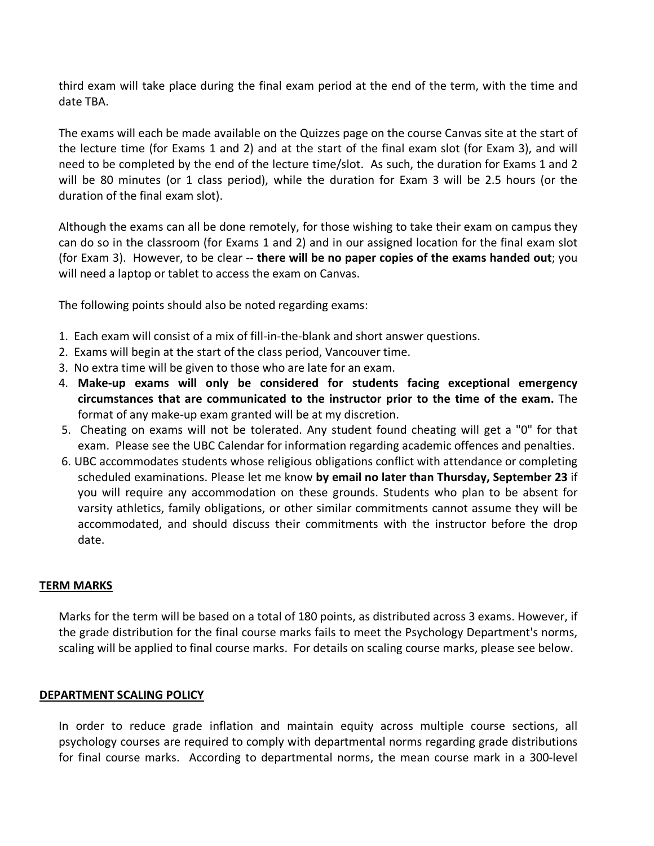third exam will take place during the final exam period at the end of the term, with the time and date TBA.

The exams will each be made available on the Quizzes page on the course Canvas site at the start of the lecture time (for Exams 1 and 2) and at the start of the final exam slot (for Exam 3), and will need to be completed by the end of the lecture time/slot. As such, the duration for Exams 1 and 2 will be 80 minutes (or 1 class period), while the duration for Exam 3 will be 2.5 hours (or the duration of the final exam slot).

Although the exams can all be done remotely, for those wishing to take their exam on campus they can do so in the classroom (for Exams 1 and 2) and in our assigned location for the final exam slot (for Exam 3). However, to be clear -- **there will be no paper copies of the exams handed out**; you will need a laptop or tablet to access the exam on Canvas.

The following points should also be noted regarding exams:

- 1. Each exam will consist of a mix of fill-in-the-blank and short answer questions.
- 2.Exams will begin at the start of the class period, Vancouver time.
- 3. No extra time will be given to those who are late for an exam.
- 4. **Make-up exams will only be considered for students facing exceptional emergency circumstances that are communicated to the instructor prior to the time of the exam.** The format of any make-up exam granted will be at my discretion.
- 5. Cheating on exams will not be tolerated. Any student found cheating will get a "0" for that exam. Please see the UBC Calendar for information regarding academic offences and penalties.
- 6. UBC accommodates students whose religious obligations conflict with attendance or completing scheduled examinations. Please let me know **by email no later than Thursday, September 23** if you will require any accommodation on these grounds. Students who plan to be absent for varsity athletics, family obligations, or other similar commitments cannot assume they will be accommodated, and should discuss their commitments with the instructor before the drop date.

#### **TERM MARKS**

Marks for the term will be based on a total of 180 points, as distributed across 3 exams. However, if the grade distribution for the final course marks fails to meet the Psychology Department's norms, scaling will be applied to final course marks. For details on scaling course marks, please see below.

#### **DEPARTMENT SCALING POLICY**

In order to reduce grade inflation and maintain equity across multiple course sections, all psychology courses are required to comply with departmental norms regarding grade distributions for final course marks. According to departmental norms, the mean course mark in a 300-level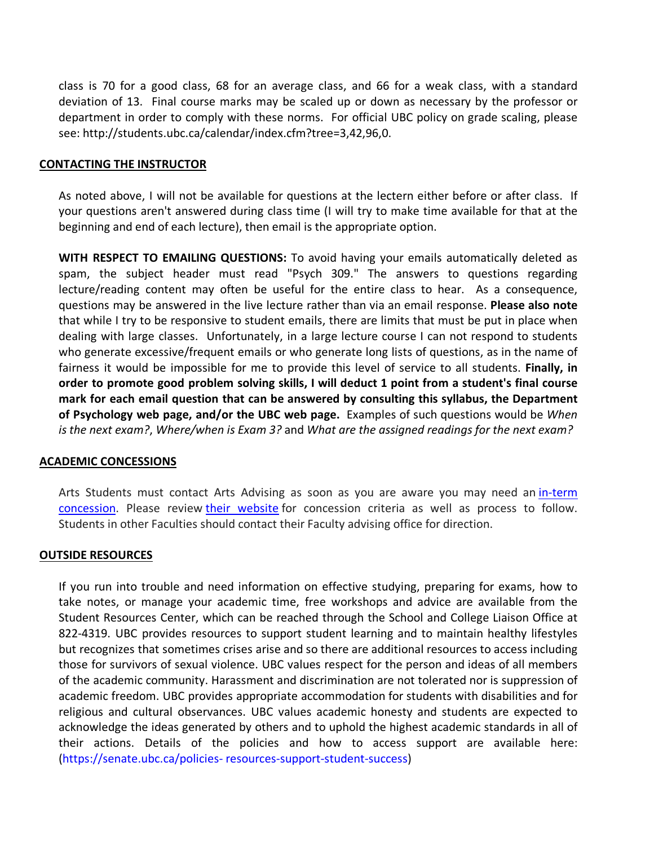class is 70 for a good class, 68 for an average class, and 66 for a weak class, with a standard deviation of 13. Final course marks may be scaled up or down as necessary by the professor or department in order to comply with these norms. For official UBC policy on grade scaling, please see: http://students.ubc.ca/calendar/index.cfm?tree=3,42,96,0.

#### **CONTACTING THE INSTRUCTOR**

As noted above, I will not be available for questions at the lectern either before or after class. If your questions aren't answered during class time (I will try to make time available for that at the beginning and end of each lecture), then email is the appropriate option.

**WITH RESPECT TO EMAILING QUESTIONS:** To avoid having your emails automatically deleted as spam, the subject header must read "Psych 309." The answers to questions regarding lecture/reading content may often be useful for the entire class to hear. As a consequence, questions may be answered in the live lecture rather than via an email response. **Please also note** that while I try to be responsive to student emails, there are limits that must be put in place when dealing with large classes. Unfortunately, in a large lecture course I can not respond to students who generate excessive/frequent emails or who generate long lists of questions, as in the name of fairness it would be impossible for me to provide this level of service to all students. **Finally, in order to promote good problem solving skills, I will deduct 1 point from a student's final course mark for each email question that can be answered by consulting this syllabus, the Department of Psychology web page, and/or the UBC web page.** Examples of such questions would be *When is the next exam?*, *Where/when is Exam 3?* and *What are the assigned readings for the next exam?*

## **ACADEMIC CONCESSIONS**

Arts Students must contact Arts Advising as soon as you are aware you may need an in-term concession. Please review their website for concession criteria as well as process to follow. Students in other Faculties should contact their Faculty advising office for direction.

#### **OUTSIDE RESOURCES**

If you run into trouble and need information on effective studying, preparing for exams, how to take notes, or manage your academic time, free workshops and advice are available from the Student Resources Center, which can be reached through the School and College Liaison Office at 822-4319. UBC provides resources to support student learning and to maintain healthy lifestyles but recognizes that sometimes crises arise and so there are additional resources to access including those for survivors of sexual violence. UBC values respect for the person and ideas of all members of the academic community. Harassment and discrimination are not tolerated nor is suppression of academic freedom. UBC provides appropriate accommodation for students with disabilities and for religious and cultural observances. UBC values academic honesty and students are expected to acknowledge the ideas generated by others and to uphold the highest academic standards in all of their actions. Details of the policies and how to access support are available here: (https://senate.ubc.ca/policies- resources-support-student-success)